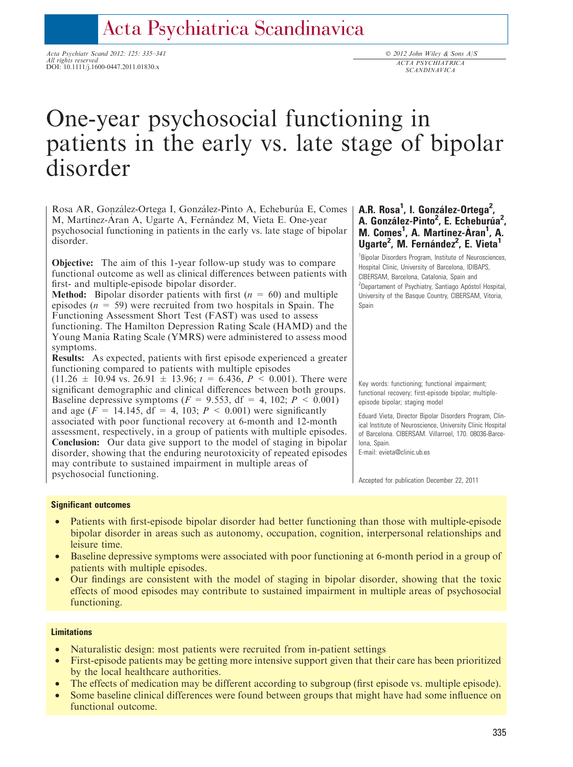# Acta Psychiatrica Scandinavica

Acta Psychiatr Scand 2012: 125: 335–341 All rights reserved DOI: 10.1111/j.1600-0447.2011.01830.x

# One-year psychosocial functioning in patients in the early vs. late stage of bipolar disorder

Rosa AR, González-Ortega I, González-Pinto A, Echeburúa E, Comes M, Martínez-Áran A, Ugarte A, Fernández M, Vieta E. One-year psychosocial functioning in patients in the early vs. late stage of bipolar disorder.

Objective: The aim of this 1-year follow-up study was to compare functional outcome as well as clinical differences between patients with first- and multiple-episode bipolar disorder.

**Method:** Bipolar disorder patients with first  $(n = 60)$  and multiple episodes ( $n = 59$ ) were recruited from two hospitals in Spain. The Functioning Assessment Short Test (FAST) was used to assess functioning. The Hamilton Depression Rating Scale (HAMD) and the Young Mania Rating Scale (YMRS) were administered to assess mood symptoms.

Results: As expected, patients with first episode experienced a greater functioning compared to patients with multiple episodes

 $(11.26 \pm 10.94 \text{ vs. } 26.91 \pm 13.96; t = 6.436, P < 0.001)$ . There were significant demographic and clinical differences between both groups. Baseline depressive symptoms ( $F = 9.553$ , df = 4, 102;  $P \le 0.001$ ) and age ( $F = 14.145$ , df = 4, 103;  $P < 0.001$ ) were significantly associated with poor functional recovery at 6-month and 12-month assessment, respectively, in a group of patients with multiple episodes. Conclusion: Our data give support to the model of staging in bipolar disorder, showing that the enduring neurotoxicity of repeated episodes may contribute to sustained impairment in multiple areas of psychosocial functioning.

# A.R. Rosa<sup>1</sup>, I. González-Ortega<sup>2</sup>, A. González-Pinto<sup>2</sup>, E. Echeburúa<sup>2</sup>, M. Comes<sup>1</sup>, A. Martínez-Àran<sup>1</sup>, A. Ugarte<sup>2</sup>, M. Fernández<sup>2</sup>, E. Vieta<sup>1</sup>

<sup>1</sup> Bipolar Disorders Program, Institute of Neurosciences, Hospital Clinic, University of Barcelona, IDIBAPS, CIBERSAM, Barcelona, Catalonia, Spain and <sup>2</sup>Departament of Psychiatry, Santiago Apóstol Hospital, University of the Basque Country, CIBERSAM, Vitoria, Spain

Key words: functioning; functional impairment; functional recovery; first-episode bipolar; multipleepisode bipolar; staging model

Eduard Vieta, Director Bipolar Disorders Program, Clinical Institute of Neuroscience, University Clinic Hospital of Barcelona. CIBERSAM. Villarroel, 170. 08036-Barcelona, Spain.

E-mail: evieta@clinic.ub.es

Accepted for publication December 22, 2011

## Significant outcomes

- Patients with first-episode bipolar disorder had better functioning than those with multiple-episode bipolar disorder in areas such as autonomy, occupation, cognition, interpersonal relationships and leisure time.
- Baseline depressive symptoms were associated with poor functioning at 6-month period in a group of patients with multiple episodes.
- Our findings are consistent with the model of staging in bipolar disorder, showing that the toxic effects of mood episodes may contribute to sustained impairment in multiple areas of psychosocial functioning.

## **Limitations**

- Naturalistic design: most patients were recruited from in-patient settings
- First-episode patients may be getting more intensive support given that their care has been prioritized by the local healthcare authorities.
- The effects of medication may be different according to subgroup (first episode vs. multiple episode).
- Some baseline clinical differences were found between groups that might have had some influence on functional outcome.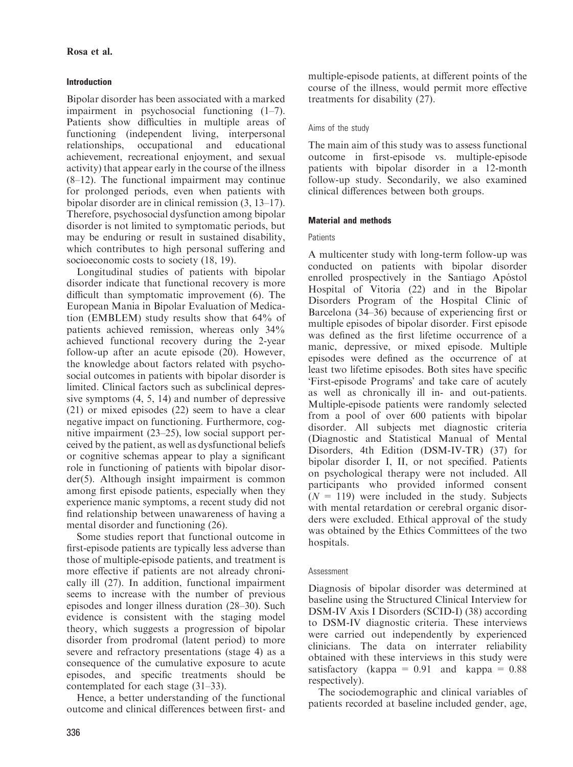# Introduction

Bipolar disorder has been associated with a marked impairment in psychosocial functioning (1–7). Patients show difficulties in multiple areas of functioning (independent living, interpersonal relationships, occupational and educational achievement, recreational enjoyment, and sexual activity) that appear early in the course of the illness (8–12). The functional impairment may continue for prolonged periods, even when patients with bipolar disorder are in clinical remission (3, 13–17). Therefore, psychosocial dysfunction among bipolar disorder is not limited to symptomatic periods, but may be enduring or result in sustained disability, which contributes to high personal suffering and socioeconomic costs to society (18, 19).

Longitudinal studies of patients with bipolar disorder indicate that functional recovery is more difficult than symptomatic improvement (6). The European Mania in Bipolar Evaluation of Medication (EMBLEM) study results show that 64% of patients achieved remission, whereas only 34% achieved functional recovery during the 2-year follow-up after an acute episode (20). However, the knowledge about factors related with psychosocial outcomes in patients with bipolar disorder is limited. Clinical factors such as subclinical depressive symptoms (4, 5, 14) and number of depressive (21) or mixed episodes (22) seem to have a clear negative impact on functioning. Furthermore, cognitive impairment (23–25), low social support perceived by the patient, as well as dysfunctional beliefs or cognitive schemas appear to play a significant role in functioning of patients with bipolar disorder(5). Although insight impairment is common among first episode patients, especially when they experience manic symptoms, a recent study did not find relationship between unawareness of having a mental disorder and functioning (26).

Some studies report that functional outcome in first-episode patients are typically less adverse than those of multiple-episode patients, and treatment is more effective if patients are not already chronically ill (27). In addition, functional impairment seems to increase with the number of previous episodes and longer illness duration (28–30). Such evidence is consistent with the staging model theory, which suggests a progression of bipolar disorder from prodromal (latent period) to more severe and refractory presentations (stage 4) as a consequence of the cumulative exposure to acute episodes, and specific treatments should be contemplated for each stage (31–33).

Hence, a better understanding of the functional outcome and clinical differences between first- and multiple-episode patients, at different points of the course of the illness, would permit more effective treatments for disability (27).

# Aims of the study

The main aim of this study was to assess functional outcome in first-episode vs. multiple-episode patients with bipolar disorder in a 12-month follow-up study. Secondarily, we also examined clinical differences between both groups.

# Material and methods

# **Patients**

A multicenter study with long-term follow-up was conducted on patients with bipolar disorder enrolled prospectively in the Santiago Apóstol Hospital of Vitoria (22) and in the Bipolar Disorders Program of the Hospital Clinic of Barcelona (34–36) because of experiencing first or multiple episodes of bipolar disorder. First episode was defined as the first lifetime occurrence of a manic, depressive, or mixed episode. Multiple episodes were defined as the occurrence of at least two lifetime episodes. Both sites have specific 'First-episode Programs' and take care of acutely as well as chronically ill in- and out-patients. Multiple-episode patients were randomly selected from a pool of over 600 patients with bipolar disorder. All subjects met diagnostic criteria (Diagnostic and Statistical Manual of Mental Disorders, 4th Edition (DSM-IV-TR) (37) for bipolar disorder I, II, or not specified. Patients on psychological therapy were not included. All participants who provided informed consent  $(N = 119)$  were included in the study. Subjects with mental retardation or cerebral organic disorders were excluded. Ethical approval of the study was obtained by the Ethics Committees of the two hospitals.

## Assessment

Diagnosis of bipolar disorder was determined at baseline using the Structured Clinical Interview for DSM-IV Axis I Disorders (SCID-I) (38) according to DSM-IV diagnostic criteria. These interviews were carried out independently by experienced clinicians. The data on interrater reliability obtained with these interviews in this study were satisfactory (kappa =  $0.91$  and kappa =  $0.88$ respectively).

The sociodemographic and clinical variables of patients recorded at baseline included gender, age,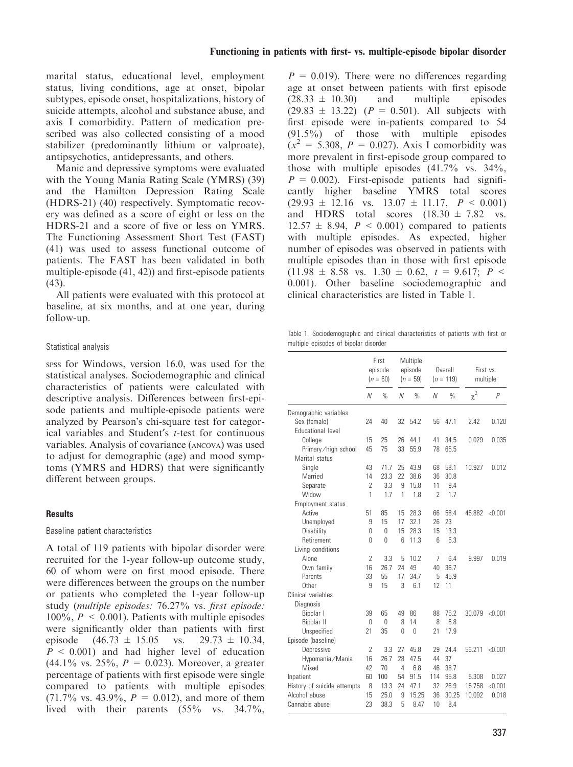marital status, educational level, employment status, living conditions, age at onset, bipolar subtypes, episode onset, hospitalizations, history of suicide attempts, alcohol and substance abuse, and axis I comorbidity. Pattern of medication prescribed was also collected consisting of a mood stabilizer (predominantly lithium or valproate), antipsychotics, antidepressants, and others.

Manic and depressive symptoms were evaluated with the Young Mania Rating Scale (YMRS) (39) and the Hamilton Depression Rating Scale (HDRS-21) (40) respectively. Symptomatic recovery was defined as a score of eight or less on the HDRS-21 and a score of five or less on YMRS. The Functioning Assessment Short Test (FAST) (41) was used to assess functional outcome of patients. The FAST has been validated in both multiple-episode (41, 42)) and first-episode patients (43).

All patients were evaluated with this protocol at baseline, at six months, and at one year, during follow-up.

# Statistical analysis

spss for Windows, version 16.0, was used for the statistical analyses. Sociodemographic and clinical characteristics of patients were calculated with descriptive analysis. Differences between first-episode patients and multiple-episode patients were analyzed by Pearson's chi-square test for categorical variables and Student's t-test for continuous variables. Analysis of covariance (ancova) was used to adjust for demographic (age) and mood symptoms (YMRS and HDRS) that were significantly different between groups.

## **Results**

## Baseline patient characteristics

A total of 119 patients with bipolar disorder were recruited for the 1-year follow-up outcome study, 60 of whom were on first mood episode. There were differences between the groups on the number or patients who completed the 1-year follow-up study (multiple episodes: 76.27% vs. first episode:  $100\%$ ,  $P \le 0.001$ ). Patients with multiple episodes were significantly older than patients with first episode  $(46.73 \pm 15.05 \text{ vs. } 29.73 \pm 10.34,$  $P \leq 0.001$  and had higher level of education  $(44.1\% \text{ vs. } 25\%, P = 0.023)$ . Moreover, a greater percentage of patients with first episode were single compared to patients with multiple episodes  $(71.7\% \text{ vs. } 43.9\%, P = 0.012)$ , and more of them lived with their parents (55% vs. 34.7%,

 $P = 0.019$ . There were no differences regarding age at onset between patients with first episode  $(28.33 \pm 10.30)$  and multiple episodes  $(29.83 \pm 13.22)$   $(P = 0.501)$ . All subjects with first episode were in-patients compared to 54 (91.5%) of those with multiple episodes  $(x^2 = 5.308, P = 0.027)$ . Axis I comorbidity was more prevalent in first-episode group compared to those with multiple episodes  $(41.7\%$  vs.  $34\%$ ,  $P = 0.002$ ). First-episode patients had significantly higher baseline YMRS total scores  $(29.93 \pm 12.16 \text{ vs. } 13.07 \pm 11.17, P \le 0.001)$ and HDRS total scores  $(18.30 \pm 7.82 \text{ vs.})$  $12.57 \pm 8.94$ ,  $P < 0.001$ ) compared to patients with multiple episodes. As expected, higher number of episodes was observed in patients with multiple episodes than in those with first episode  $(11.98 \pm 8.58 \text{ vs. } 1.30 \pm 0.62, t = 9.617; P <$ 0.001). Other baseline sociodemographic and clinical characteristics are listed in Table 1.

Table 1. Sociodemographic and clinical characteristics of patients with first or multiple episodes of bipolar disorder

|                             | First<br>episode<br>$(n = 60)$ |               | Multiple<br>episode<br>$(n = 59)$ |               | Overall<br>$(n = 119)$ |               | First vs.<br>multiple |         |
|-----------------------------|--------------------------------|---------------|-----------------------------------|---------------|------------------------|---------------|-----------------------|---------|
|                             | Ν                              | $\frac{0}{0}$ | Ν                                 | $\frac{0}{0}$ | N                      | $\frac{0}{0}$ | $\chi^2$              | P       |
| Demographic variables       |                                |               |                                   |               |                        |               |                       |         |
| Sex (female)                | 24                             | 40            | 32                                | 54.2          | 56                     | 47.1          | 2.42                  | 0.120   |
| Educational level           |                                |               |                                   |               |                        |               |                       |         |
| College                     | 15                             | 25            | 26                                | 44.1          | 41                     | 34.5          | 0.029                 | 0.035   |
| Primary/high school         | 45                             | 75            | 33                                | 55.9          | 78                     | 65.5          |                       |         |
| Marital status              |                                |               |                                   |               |                        |               |                       |         |
| Single                      | 43                             | 71.7          | 25                                | 43.9          | 68                     | 58.1          | 10.927                | 0.012   |
| Married                     | 14                             | 23.3          | 22                                | 38.6          | 36                     | 30.8          |                       |         |
| Separate                    | 2                              | 3.3           | 9                                 | 15.8          | 11                     | 9.4           |                       |         |
| Widow                       | 1                              | 1.7           | 1                                 | 1.8           | $\overline{2}$         | 1.7           |                       |         |
| Employment status           |                                |               |                                   |               |                        |               |                       |         |
| Active                      | 51                             | 85            | 15                                | 28.3          | 66                     | 58.4          | 45.882                | < 0.001 |
| Unemployed                  | 9                              | 15            | 17                                | 32.1          | 26                     | 23            |                       |         |
| Disability                  | 0                              | $\Omega$      | 15                                | 28.3          | 15                     | 13.3          |                       |         |
| Retirement                  | 0                              | 0             | 6                                 | 11.3          | 6                      | 5.3           |                       |         |
| Living conditions           |                                |               |                                   |               |                        |               |                       |         |
| Alone                       | $\overline{2}$                 | 3.3           | 5                                 | 10.2          | 7                      | 6.4           | 9.997                 | 0.019   |
| Own family                  | 16                             | 26.7          | 24                                | 49            | 40                     | 36.7          |                       |         |
| Parents                     | 33                             | 55            | 17                                | 34.7          | 5                      | 45.9          |                       |         |
| <b>Other</b>                | 9                              | 15            | 3                                 | 6.1           | 12                     | 11            |                       |         |
| Clinical variables          |                                |               |                                   |               |                        |               |                       |         |
| Diagnosis                   |                                |               |                                   |               |                        |               |                       |         |
| Bipolar I                   | 39                             | 65            | 49                                | 86            | 88                     | 75.2          | 30.079                | < 0.001 |
| Bipolar II                  | 0                              | $\Omega$      | 8                                 | 14            | 8                      | 6.8           |                       |         |
| Unspecified                 | 21                             | 35            | 0                                 | $\Omega$      | 21                     | 17.9          |                       |         |
| Episode (baseline)          |                                |               |                                   |               |                        |               |                       |         |
| Depressive                  | $\overline{2}$                 | 3.3           | 27                                | 45.8          | 29                     | 24.4          | 56.211                | < 0.001 |
| Hypomania / Mania           | 16                             | 26.7          | 28                                | 47.5          | 44                     | 37            |                       |         |
| Mixed                       | 42                             | 70            | 4                                 | 6.8           | 46                     | 38.7          |                       |         |
| Inpatient                   | 60                             | 100           | 54                                | 91.5          | 114                    | 95.8          | 5.308                 | 0.027   |
| History of suicide attempts | 8                              | 13.3          | 24                                | 47.1          | 32                     | 26.9          | 15.758                | < 0.001 |
| Alcohol abuse               | 15                             | 25.0          | 9                                 | 15.25         | 36                     | 30.25         | 10.092                | 0.018   |
| Cannabis abuse              | 23                             | 38.3          | 5                                 | 8.47          | 10                     | 8.4           |                       |         |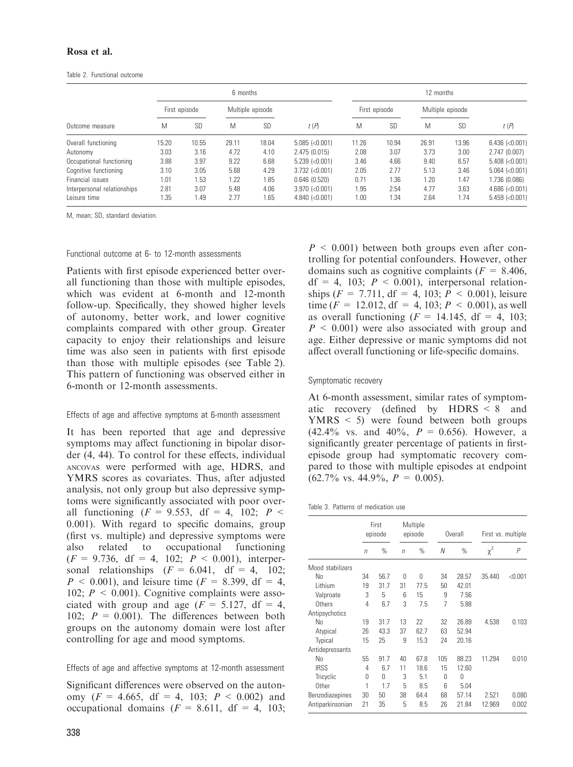## Rosa et al.

#### Table 2. Functional outcome

| Outcome measure             |               | 6 months  |                  |           |                      |               | 12 months |                  |           |                      |  |
|-----------------------------|---------------|-----------|------------------|-----------|----------------------|---------------|-----------|------------------|-----------|----------------------|--|
|                             | First episode |           | Multiple episode |           |                      | First episode |           | Multiple episode |           |                      |  |
|                             | M             | <b>SD</b> | M                | <b>SD</b> | t(P)                 | M             | <b>SD</b> | M                | <b>SD</b> | t(P)                 |  |
| Overall functioning         | 15.20         | 10.55     | 29.11            | 18.04     | $5.085$ (< $0.001$ ) | 11.26         | 10.94     | 26.91            | 13.96     | $6.436$ (< $0.001$ ) |  |
| Autonomy                    | 3.03          | 3.16      | 4.72             | 4.10      | 2.475 (0.015)        | 2.08          | 3.07      | 3.73             | 3.00      | 2.747(0.007)         |  |
| Occupational functioning    | 3.88          | 3.97      | 9.22             | 6.68      | $5.239$ (< $0.001$ ) | 3.46          | 4.66      | 9.40             | 6.57      | $5.408$ (<0.001)     |  |
| Cognitive functioning       | 3.10          | 3.05      | 5.68             | 4.29      | $3.732$ (<0.001)     | 2.05          | 2.77      | 5.13             | 3.46      | $5.064$ (< $0.001$ ) |  |
| Financial issues            | 1.01          | 1.53      | 1.22             | 1.85      | 0.646(0.520)         | 0.71          | 1.36      | 1.20             | 1.47      | 1.736 (0.086)        |  |
| Interpersonal relationships | 2.81          | 3.07      | 5.48             | 4.06      | $3.970$ (<0.001)     | 1.95          | 2.54      | 4.77             | 3.63      | $4.686$ (< $0.001$ ) |  |
| Leisure time                | .35           | 1.49      | 2.77             | 1.65      | $4.840$ (<0.001)     | 1.00          | 1.34      | 2.64             | 1.74      | $5.459$ (< $0.001$ ) |  |

M, mean; SD, standard deviation.

### Functional outcome at 6- to 12-month assessments

Patients with first episode experienced better overall functioning than those with multiple episodes, which was evident at 6-month and 12-month follow-up. Specifically, they showed higher levels of autonomy, better work, and lower cognitive complaints compared with other group. Greater capacity to enjoy their relationships and leisure time was also seen in patients with first episode than those with multiple episodes (see Table 2). This pattern of functioning was observed either in 6-month or 12-month assessments.

## Effects of age and affective symptoms at 6-month assessment

It has been reported that age and depressive symptoms may affect functioning in bipolar disorder (4, 44). To control for these effects, individual ancovas were performed with age, HDRS, and YMRS scores as covariates. Thus, after adjusted analysis, not only group but also depressive symptoms were significantly associated with poor overall functioning  $(F = 9.553, df = 4, 102; P <$ 0.001). With regard to specific domains, group (first vs. multiple) and depressive symptoms were also related to occupational functioning  $(F = 9.736, df = 4, 102; P < 0.001)$ , interpersonal relationships  $(F = 6.041, df = 4, 102;$  $P \le 0.001$ , and leisure time ( $F = 8.399$ , df = 4, 102;  $P \le 0.001$ ). Cognitive complaints were associated with group and age  $(F = 5.127, df = 4,$ 102;  $P = 0.001$ ). The differences between both groups on the autonomy domain were lost after controlling for age and mood symptoms.

Effects of age and affective symptoms at 12-month assessment

Significant differences were observed on the autonomy ( $F = 4.665$ , df = 4, 103;  $P \le 0.002$ ) and occupational domains  $(F = 8.611, df = 4, 103;$   $P \leq 0.001$ ) between both groups even after controlling for potential confounders. However, other domains such as cognitive complaints  $(F = 8.406)$ .  $df = 4$ , 103;  $P \le 0.001$ ), interpersonal relationships ( $F = 7.711$ , df = 4, 103;  $P \le 0.001$ ), leisure time ( $F = 12.012$ , df = 4, 103;  $P < 0.001$ ), as well as overall functioning  $(F = 14.145, df = 4, 103;$  $P \leq 0.001$ ) were also associated with group and age. Either depressive or manic symptoms did not affect overall functioning or life-specific domains.

#### Symptomatic recovery

At 6-month assessment, similar rates of symptomatic recovery (defined by HDRS < 8 and YMRS < 5) were found between both groups  $(42.4\% \text{ vs. and } 40\%, P = 0.656)$ . However, a significantly greater percentage of patients in firstepisode group had symptomatic recovery compared to those with multiple episodes at endpoint  $(62.7\% \text{ vs. } 44.9\%, P = 0.005).$ 

|  | Table 3. Patterns of medication use |  |
|--|-------------------------------------|--|
|  |                                     |  |

|                  | First<br>episode |      | Multiple<br>episode |          | Overall  |       | First vs. multiple |                |
|------------------|------------------|------|---------------------|----------|----------|-------|--------------------|----------------|
|                  | $\sqrt{n}$       | $\%$ | $\sqrt{n}$          | $\%$     | N        | $\%$  | $\chi^2$           | $\overline{P}$ |
| Mood stabilizers |                  |      |                     |          |          |       |                    |                |
| No               | 34               | 56.7 | 0                   | $\Omega$ | 34       | 28.57 | 35.440             | < 0.001        |
| Lithium          | 19               | 31.7 | 31                  | 77.5     | 50       | 42.01 |                    |                |
| Valproate        | 3                | 5    | 6                   | 15       | 9        | 7.56  |                    |                |
| Others           | 4                | 6.7  | 3                   | 7.5      | 7        | 5.88  |                    |                |
| Antipsychotics   |                  |      |                     |          |          |       |                    |                |
| No               | 19               | 31.7 | 13                  | 22       | 32       | 26.89 | 4.538              | 0.103          |
| Atypical         | 26               | 43.3 | 37                  | 62.7     | 63       | 52.94 |                    |                |
| Typical          | 15               | 25   | 9                   | 15.3     | 24       | 20.16 |                    |                |
| Antidepressants  |                  |      |                     |          |          |       |                    |                |
| No               | 55               | 91.7 | 40                  | 67.8     | 105      | 88.23 | 11.294             | 0.010          |
| <b>IRSS</b>      | 4                | 6.7  | 11                  | 18.6     | 15       | 12.60 |                    |                |
| Tricyclic        | 0                | Ŋ    | 3                   | 5.1      | $\Omega$ | U     |                    |                |
| Other            | 1                | 1.7  | 5                   | 8.5      | 6        | 5.04  |                    |                |
| Benzodiazepines  | 30               | 50   | 38                  | 64.4     | 68       | 57.14 | 2.521              | 0.080          |
| Antiparkinsonian | 21               | 35   | 5                   | 8.5      | 26       | 21.84 | 12.969             | 0.002          |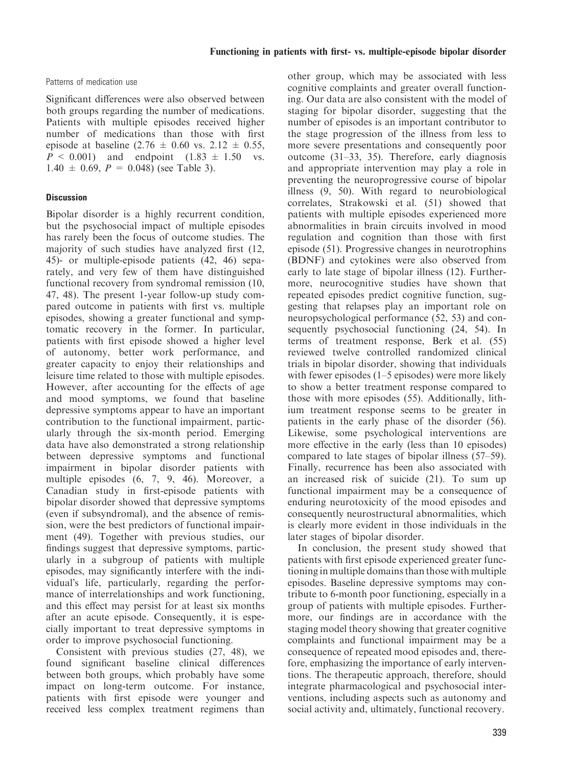Patterns of medication use

Significant differences were also observed between both groups regarding the number of medications. Patients with multiple episodes received higher number of medications than those with first episode at baseline  $(2.76 \pm 0.60 \text{ vs. } 2.12 \pm 0.55,$  $P < 0.001$ ) and endpoint  $(1.83 \pm 1.50 \text{ vs.}$  $1.40 \pm 0.69$ ,  $P = 0.048$  (see Table 3).

# **Discussion**

Bipolar disorder is a highly recurrent condition, but the psychosocial impact of multiple episodes has rarely been the focus of outcome studies. The majority of such studies have analyzed first (12, 45)- or multiple-episode patients (42, 46) separately, and very few of them have distinguished functional recovery from syndromal remission (10, 47, 48). The present 1-year follow-up study compared outcome in patients with first vs. multiple episodes, showing a greater functional and symptomatic recovery in the former. In particular, patients with first episode showed a higher level of autonomy, better work performance, and greater capacity to enjoy their relationships and leisure time related to those with multiple episodes. However, after accounting for the effects of age and mood symptoms, we found that baseline depressive symptoms appear to have an important contribution to the functional impairment, particularly through the six-month period. Emerging data have also demonstrated a strong relationship between depressive symptoms and functional impairment in bipolar disorder patients with multiple episodes (6, 7, 9, 46). Moreover, a Canadian study in first-episode patients with bipolar disorder showed that depressive symptoms (even if subsyndromal), and the absence of remission, were the best predictors of functional impairment (49). Together with previous studies, our findings suggest that depressive symptoms, particularly in a subgroup of patients with multiple episodes, may significantly interfere with the individual's life, particularly, regarding the performance of interrelationships and work functioning, and this effect may persist for at least six months after an acute episode. Consequently, it is especially important to treat depressive symptoms in order to improve psychosocial functioning.

Consistent with previous studies (27, 48), we found significant baseline clinical differences between both groups, which probably have some impact on long-term outcome. For instance, patients with first episode were younger and received less complex treatment regimens than other group, which may be associated with less cognitive complaints and greater overall functioning. Our data are also consistent with the model of staging for bipolar disorder, suggesting that the number of episodes is an important contributor to the stage progression of the illness from less to more severe presentations and consequently poor outcome (31–33, 35). Therefore, early diagnosis and appropriate intervention may play a role in preventing the neuroprogressive course of bipolar illness (9, 50). With regard to neurobiological correlates, Strakowski et al. (51) showed that patients with multiple episodes experienced more abnormalities in brain circuits involved in mood regulation and cognition than those with first episode (51). Progressive changes in neurotrophins (BDNF) and cytokines were also observed from early to late stage of bipolar illness (12). Furthermore, neurocognitive studies have shown that repeated episodes predict cognitive function, suggesting that relapses play an important role on neuropsychological performance (52, 53) and consequently psychosocial functioning (24, 54). In terms of treatment response, Berk et al. (55) reviewed twelve controlled randomized clinical trials in bipolar disorder, showing that individuals with fewer episodes (1–5 episodes) were more likely to show a better treatment response compared to those with more episodes (55). Additionally, lithium treatment response seems to be greater in patients in the early phase of the disorder (56). Likewise, some psychological interventions are more effective in the early (less than 10 episodes) compared to late stages of bipolar illness (57–59). Finally, recurrence has been also associated with an increased risk of suicide (21). To sum up functional impairment may be a consequence of enduring neurotoxicity of the mood episodes and consequently neurostructural abnormalities, which is clearly more evident in those individuals in the later stages of bipolar disorder.

In conclusion, the present study showed that patients with first episode experienced greater functioning in multiple domains than those with multiple episodes. Baseline depressive symptoms may contribute to 6-month poor functioning, especially in a group of patients with multiple episodes. Furthermore, our findings are in accordance with the staging model theory showing that greater cognitive complaints and functional impairment may be a consequence of repeated mood episodes and, therefore, emphasizing the importance of early interventions. The therapeutic approach, therefore, should integrate pharmacological and psychosocial interventions, including aspects such as autonomy and social activity and, ultimately, functional recovery.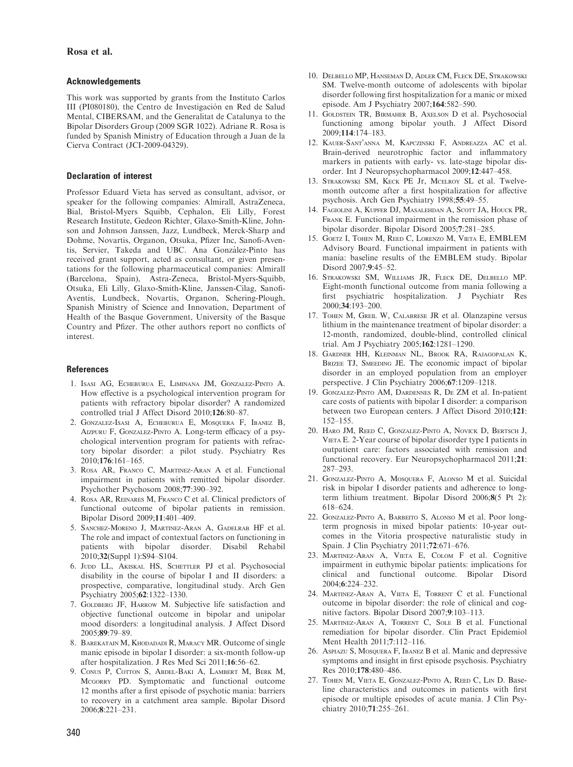## Rosa et al.

### Acknowledgements

This work was supported by grants from the Instituto Carlos III (PI080180), the Centro de Investigación en Red de Salud Mental, CIBERSAM, and the Generalitat de Catalunya to the Bipolar Disorders Group (2009 SGR 1022). Adriane R. Rosa is funded by Spanish Ministry of Education through a Juan de la Cierva Contract (JCI-2009-04329).

### Declaration of interest

Professor Eduard Vieta has served as consultant, advisor, or speaker for the following companies: Almirall, AstraZeneca, Bial, Bristol-Myers Squibb, Cephalon, Eli Lilly, Forest Research Institute, Gedeon Richter, Glaxo-Smith-Kline, Johnson and Johnson Janssen, Jazz, Lundbeck, Merck-Sharp and Dohme, Novartis, Organon, Otsuka, Pfizer Inc, Sanofi-Aventis, Servier, Takeda and UBC. Ana González-Pinto has received grant support, acted as consultant, or given presentations for the following pharmaceutical companies: Almirall (Barcelona, Spain), Astra-Zeneca, Bristol-Myers-Squibb, Otsuka, Eli Lilly, Glaxo-Smith-Kline, Janssen-Cilag, Sanofi-Aventis, Lundbeck, Novartis, Organon, Schering-Plough, Spanish Ministry of Science and Innovation, Department of Health of the Basque Government, University of the Basque Country and Pfizer. The other authors report no conflicts of interest.

#### References

- 1. Isasi AG, Echeburua E, Liminana JM, Gonzalez-Pinto A. How effective is a psychological intervention program for patients with refractory bipolar disorder? A randomized controlled trial J Affect Disord 2010;126:80–87.
- 2. Gonzalez-Isasi A, Echeburua E, Mosquera F, Ibanez B, Aizpuru F, Gonzalez-Pinto A. Long-term efficacy of a psychological intervention program for patients with refractory bipolar disorder: a pilot study. Psychiatry Res 2010;176:161–165.
- 3. Rosa AR, Franco C, Martinez-Aran A et al. Functional impairment in patients with remitted bipolar disorder. Psychother Psychosom 2008;77:390–392.
- 4. Rosa AR, Reinares M, Franco C et al. Clinical predictors of functional outcome of bipolar patients in remission. Bipolar Disord 2009;11:401–409.
- 5. Sanchez-Moreno J, Martinez-Aran A, Gadelrab HF et al. The role and impact of contextual factors on functioning in patients with bipolar disorder. Disabil Rehabil 2010;32(Suppl 1):S94–S104.
- 6. JUDD LL, AKISKAL HS, SCHETTLER PJ et al. Psychosocial disability in the course of bipolar I and II disorders: a prospective, comparative, longitudinal study. Arch Gen Psychiatry 2005;62:1322–1330.
- 7. GOLDBERG JF, HARROW M. Subjective life satisfaction and objective functional outcome in bipolar and unipolar mood disorders: a longitudinal analysis. J Affect Disord 2005;89:79–89.
- 8. Barekatain M, Khodadadi R, Maracy MR. Outcome of single manic episode in bipolar I disorder: a six-month follow-up after hospitalization. J Res Med Sci 2011;16:56–62.
- 9. CONUS P, COTTON S, ABDEL-BAKI A, LAMBERT M, BERK M, Mcgorry PD. Symptomatic and functional outcome 12 months after a first episode of psychotic mania: barriers to recovery in a catchment area sample. Bipolar Disord 2006;8:221–231.
- 10. Delbello MP, Hanseman D, Adler CM, Fleck DE, Strakowski SM. Twelve-month outcome of adolescents with bipolar disorder following first hospitalization for a manic or mixed episode. Am J Psychiatry 2007;164:582–590.
- 11. Goldstein TR, Birmaher B, Axelson D et al. Psychosocial functioning among bipolar youth. J Affect Disord 2009;114:174–183.
- 12. KAUER-SANT'ANNA M, KAPCZINSKI F, ANDREAZZA AC et al. Brain-derived neurotrophic factor and inflammatory markers in patients with early- vs. late-stage bipolar disorder. Int J Neuropsychopharmacol 2009;12:447–458.
- 13. Strakowski SM, Keck PE Jr, Mcelroy SL et al. Twelvemonth outcome after a first hospitalization for affective psychosis. Arch Gen Psychiatry 1998;55:49–55.
- 14. Fagiolini A, Kupfer DJ, Masalehdan A, Scott JA, Houck PR, Frank E. Functional impairment in the remission phase of bipolar disorder. Bipolar Disord 2005;7:281–285.
- 15. Goetz I, Tohen M, Reed C, Lorenzo M, Vieta E, EMBLEM Advisory Board. Functional impairment in patients with mania: baseline results of the EMBLEM study. Bipolar Disord 2007;9:45–52.
- 16. Strakowski SM, Williams JR, Fleck DE, Delbello MP. Eight-month functional outcome from mania following a first psychiatric hospitalization. J Psychiatr Res 2000;34:193–200.
- 17. TOHEN M, GREIL W, CALABRESE JR et al. Olanzapine versus lithium in the maintenance treatment of bipolar disorder: a 12-month, randomized, double-blind, controlled clinical trial. Am J Psychiatry 2005;162:1281–1290.
- 18. Gardner HH, Kleinman NL, Brook RA, Rajagopalan K, BRIZEE TJ, SMEEDING JE. The economic impact of bipolar disorder in an employed population from an employer perspective. J Clin Psychiatry 2006;67:1209–1218.
- 19. Gonzalez-Pinto AM, Dardennes R, De ZM et al. In-patient care costs of patients with bipolar I disorder: a comparison between two European centers. J Affect Disord 2010;121: 152–155.
- 20. Haro JM, Reed C, Gonzalez-Pinto A, Novick D, Bertsch J, Vieta E. 2-Year course of bipolar disorder type I patients in outpatient care: factors associated with remission and functional recovery. Eur Neuropsychopharmacol 2011;21: 287–293.
- 21. GONZALEZ-PINTO A, MOSOUERA F, ALONSO M et al. Suicidal risk in bipolar I disorder patients and adherence to longterm lithium treatment. Bipolar Disord 2006;8(5 Pt 2): 618–624.
- 22. Gonzalez-Pinto A, Barbeito S, Alonso M et al. Poor longterm prognosis in mixed bipolar patients: 10-year outcomes in the Vitoria prospective naturalistic study in Spain. J Clin Psychiatry 2011;72:671–676.
- 23. Martinez-Aran A, Vieta E, Colom F et al. Cognitive impairment in euthymic bipolar patients: implications for clinical and functional outcome. Bipolar Disord 2004;6:224–232.
- 24. Martinez-Aran A, Vieta E, Torrent C et al. Functional outcome in bipolar disorder: the role of clinical and cognitive factors. Bipolar Disord 2007;9:103–113.
- 25. Martinez-Aran A, Torrent C, Sole B et al. Functional remediation for bipolar disorder. Clin Pract Epidemiol Ment Health 2011;7:112–116.
- 26. Aspiazu S, Mosquera F, Ibanez B et al. Manic and depressive symptoms and insight in first episode psychosis. Psychiatry Res 2010;178:480–486.
- 27. Tohen M, Vieta E, Gonzalez-Pinto A, Reed C, Lin D. Baseline characteristics and outcomes in patients with first episode or multiple episodes of acute mania. J Clin Psychiatry 2010;71:255–261.